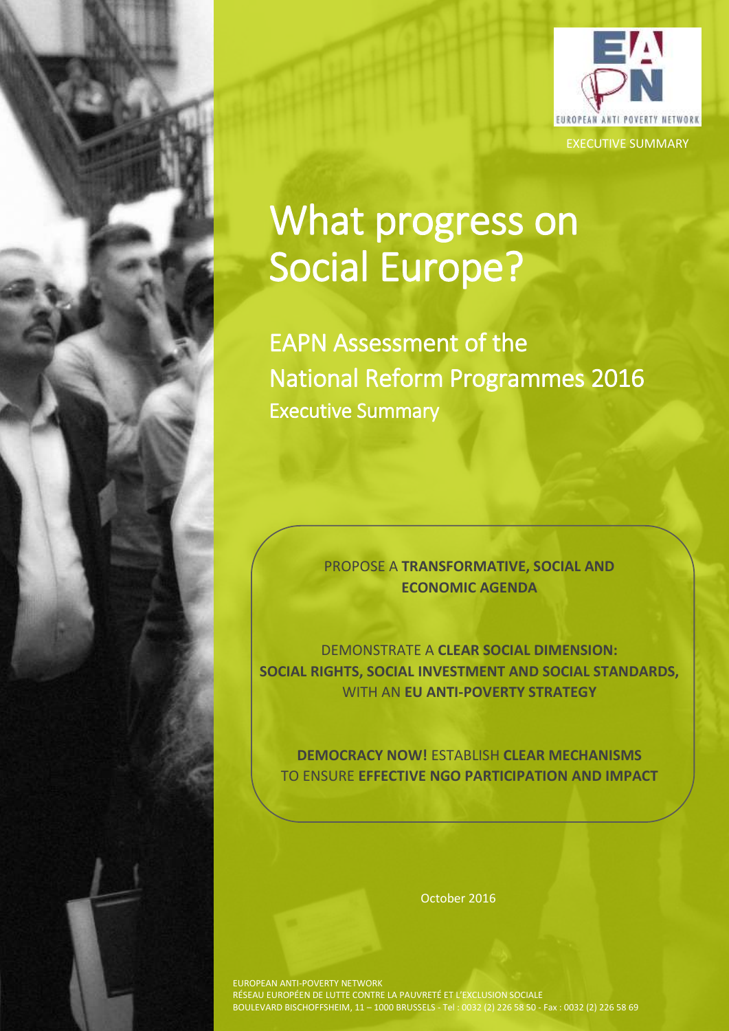

# What progress on Social Europe?

EAPN Assessment of the National Reform Programmes 2016 Executive Summary

> PROPOSE A **TRANSFORMATIVE, SOCIAL AND ECONOMIC AGENDA**

DEMONSTRATE A **CLEAR SOCIAL DIMENSION: SOCIAL RIGHTS, SOCIAL INVESTMENT AND SOCIAL STANDARDS,** WITH AN **EU ANTI-POVERTY STRATEGY**

**DEMOCRACY NOW!** ESTABLISH **CLEAR MECHANISMS** TO ENSURE **EFFECTIVE NGO PARTICIPATION AND IMPACT**

October 2016

EUROPEAN ANTI-POVERTY NETWORK RÉSEAU EUROPÉEN DE LUTTE CONTRE LA PAUVRETÉ ET L'EXCLUSION SOCIALE BOULEVARD BISCHOFFSHEIM, 11 – 1000 BRUSSELS - Tel : 0032 (2) 226 58 50 - Fax : 0032 (2) 226 58 69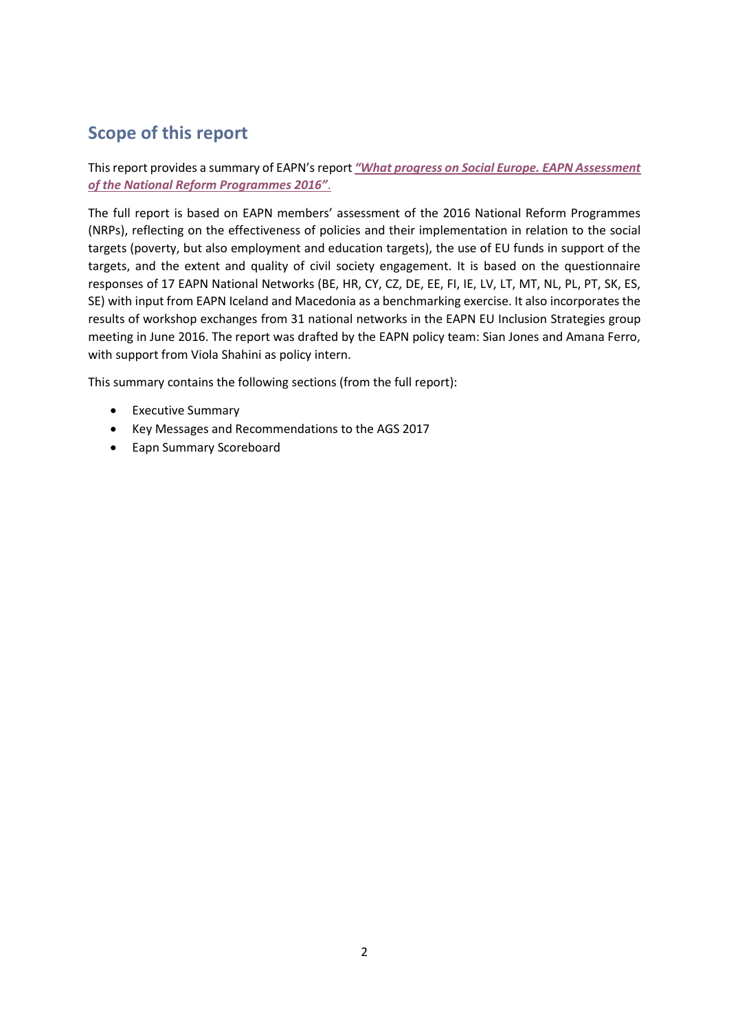# **Scope of this report**

#### This report provides a summary of EAPN's report *["What progress on Social Europe. EAPN Assessment](http://www.eapn.eu/wp-content/uploads/2016/10/EAPN-2016_NRP_Report_EAPN-623.pdf)  [of the National Reform Programmes 2016"](http://www.eapn.eu/wp-content/uploads/2016/10/EAPN-2016_NRP_Report_EAPN-623.pdf)*.

The full report is based on EAPN members' assessment of the 2016 National Reform Programmes (NRPs), reflecting on the effectiveness of policies and their implementation in relation to the social targets (poverty, but also employment and education targets), the use of EU funds in support of the targets, and the extent and quality of civil society engagement. It is based on the questionnaire responses of 17 EAPN National Networks (BE, HR, CY, CZ, DE, EE, FI, IE, LV, LT, MT, NL, PL, PT, SK, ES, SE) with input from EAPN Iceland and Macedonia as a benchmarking exercise. It also incorporates the results of workshop exchanges from 31 national networks in the EAPN EU Inclusion Strategies group meeting in June 2016. The report was drafted by the EAPN policy team: Sian Jones and Amana Ferro, with support from Viola Shahini as policy intern.

This summary contains the following sections (from the full report):

- Executive Summary
- Key Messages and Recommendations to the AGS 2017
- Eapn Summary Scoreboard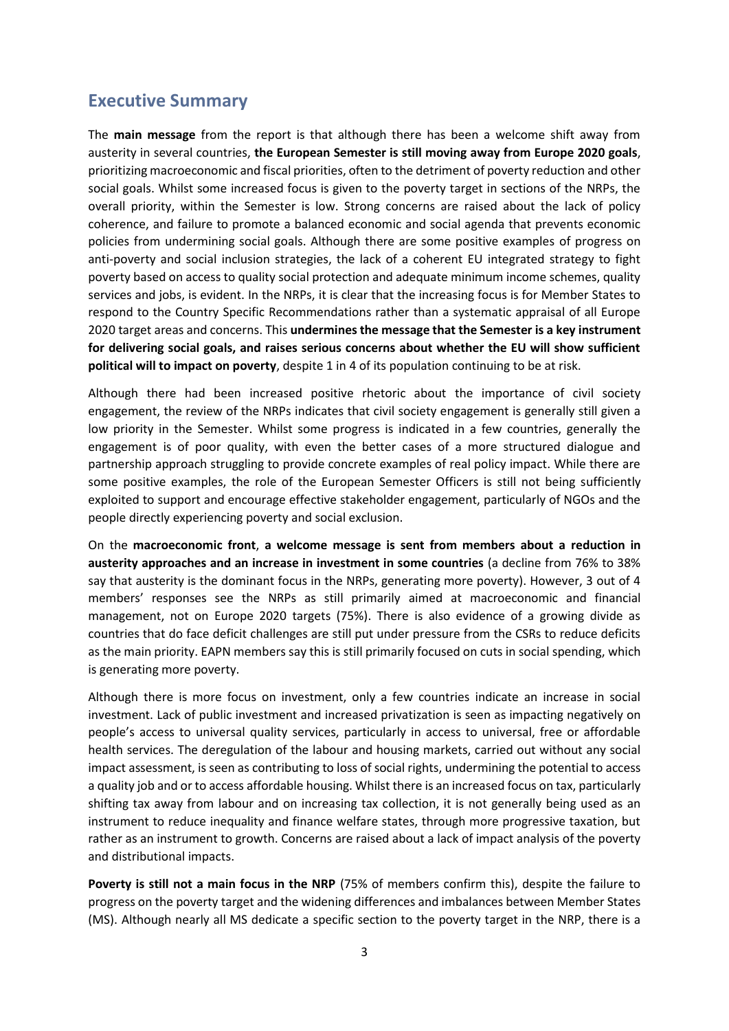## **Executive Summary**

The **main message** from the report is that although there has been a welcome shift away from austerity in several countries, **the European Semester is still moving away from Europe 2020 goals**, prioritizing macroeconomic and fiscal priorities, often to the detriment of poverty reduction and other social goals. Whilst some increased focus is given to the poverty target in sections of the NRPs, the overall priority, within the Semester is low. Strong concerns are raised about the lack of policy coherence, and failure to promote a balanced economic and social agenda that prevents economic policies from undermining social goals. Although there are some positive examples of progress on anti-poverty and social inclusion strategies, the lack of a coherent EU integrated strategy to fight poverty based on access to quality social protection and adequate minimum income schemes, quality services and jobs, is evident. In the NRPs, it is clear that the increasing focus is for Member States to respond to the Country Specific Recommendations rather than a systematic appraisal of all Europe 2020 target areas and concerns. This **undermines the message that the Semester is a key instrument for delivering social goals, and raises serious concerns about whether the EU will show sufficient political will to impact on poverty**, despite 1 in 4 of its population continuing to be at risk.

Although there had been increased positive rhetoric about the importance of civil society engagement, the review of the NRPs indicates that civil society engagement is generally still given a low priority in the Semester. Whilst some progress is indicated in a few countries, generally the engagement is of poor quality, with even the better cases of a more structured dialogue and partnership approach struggling to provide concrete examples of real policy impact. While there are some positive examples, the role of the European Semester Officers is still not being sufficiently exploited to support and encourage effective stakeholder engagement, particularly of NGOs and the people directly experiencing poverty and social exclusion.

On the **macroeconomic front**, **a welcome message is sent from members about a reduction in austerity approaches and an increase in investment in some countries** (a decline from 76% to 38% say that austerity is the dominant focus in the NRPs, generating more poverty). However, 3 out of 4 members' responses see the NRPs as still primarily aimed at macroeconomic and financial management, not on Europe 2020 targets (75%). There is also evidence of a growing divide as countries that do face deficit challenges are still put under pressure from the CSRs to reduce deficits as the main priority. EAPN members say this is still primarily focused on cuts in social spending, which is generating more poverty.

Although there is more focus on investment, only a few countries indicate an increase in social investment. Lack of public investment and increased privatization is seen as impacting negatively on people's access to universal quality services, particularly in access to universal, free or affordable health services. The deregulation of the labour and housing markets, carried out without any social impact assessment, is seen as contributing to loss of social rights, undermining the potential to access a quality job and or to access affordable housing. Whilst there is an increased focus on tax, particularly shifting tax away from labour and on increasing tax collection, it is not generally being used as an instrument to reduce inequality and finance welfare states, through more progressive taxation, but rather as an instrument to growth. Concerns are raised about a lack of impact analysis of the poverty and distributional impacts.

**Poverty is still not a main focus in the NRP** (75% of members confirm this), despite the failure to progress on the poverty target and the widening differences and imbalances between Member States (MS). Although nearly all MS dedicate a specific section to the poverty target in the NRP, there is a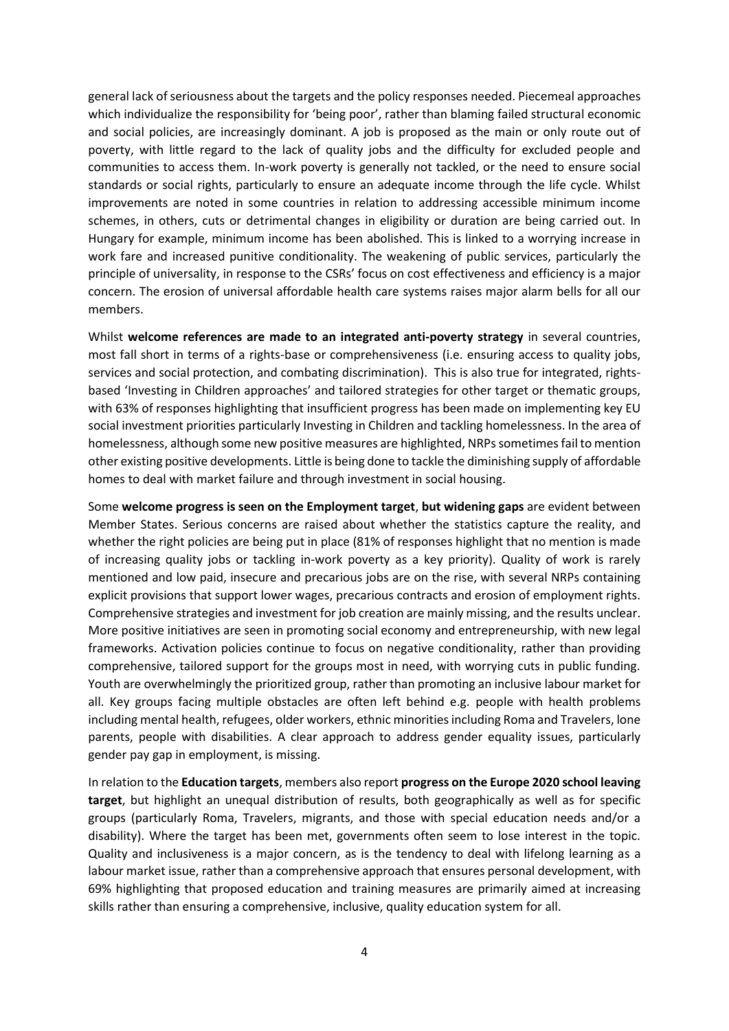general lack of seriousness about the targets and the policy responses needed. Piecemeal approaches which individualize the responsibility for 'being poor', rather than blaming failed structural economic and social policies, are increasingly dominant. A job is proposed as the main or only route out of poverty, with little regard to the lack of quality jobs and the difficulty for excluded people and communities to access them. In-work poverty is generally not tackled, or the need to ensure social standards or social rights, particularly to ensure an adequate income through the life cycle. Whilst improvements are noted in some countries in relation to addressing accessible minimum income schemes, in others, cuts or detrimental changes in eligibility or duration are being carried out. In Hungary for example, minimum income has been abolished. This is linked to a worrying increase in work fare and increased punitive conditionality. The weakening of public services, particularly the principle of universality, in response to the CSRs' focus on cost effectiveness and efficiency is a major concern. The erosion of universal affordable health care systems raises major alarm bells for all our members.

Whilst **welcome references are made to an integrated anti-poverty strategy** in several countries, most fall short in terms of a rights-base or comprehensiveness (i.e. ensuring access to quality jobs, services and social protection, and combating discrimination). This is also true for integrated, rightsbased 'Investing in Children approaches' and tailored strategies for other target or thematic groups, with 63% of responses highlighting that insufficient progress has been made on implementing key EU social investment priorities particularly Investing in Children and tackling homelessness. In the area of homelessness, although some new positive measures are highlighted, NRPs sometimes fail to mention other existing positive developments. Little is being done to tackle the diminishing supply of affordable homes to deal with market failure and through investment in social housing.

Some **welcome progress is seen on the Employment target**, **but widening gaps** are evident between Member States. Serious concerns are raised about whether the statistics capture the reality, and whether the right policies are being put in place (81% of responses highlight that no mention is made of increasing quality jobs or tackling in-work poverty as a key priority). Quality of work is rarely mentioned and low paid, insecure and precarious jobs are on the rise, with several NRPs containing explicit provisions that support lower wages, precarious contracts and erosion of employment rights. Comprehensive strategies and investment for job creation are mainly missing, and the results unclear. More positive initiatives are seen in promoting social economy and entrepreneurship, with new legal frameworks. Activation policies continue to focus on negative conditionality, rather than providing comprehensive, tailored support for the groups most in need, with worrying cuts in public funding. Youth are overwhelmingly the prioritized group, rather than promoting an inclusive labour market for all. Key groups facing multiple obstacles are often left behind e.g. people with health problems including mental health, refugees, older workers, ethnic minorities including Roma and Travelers, lone parents, people with disabilities. A clear approach to address gender equality issues, particularly gender pay gap in employment, is missing.

In relation to the **Education targets**, members also report **progress on the Europe 2020 school leaving target**, but highlight an unequal distribution of results, both geographically as well as for specific groups (particularly Roma, Travelers, migrants, and those with special education needs and/or a disability). Where the target has been met, governments often seem to lose interest in the topic. Quality and inclusiveness is a major concern, as is the tendency to deal with lifelong learning as a labour market issue, rather than a comprehensive approach that ensures personal development, with 69% highlighting that proposed education and training measures are primarily aimed at increasing skills rather than ensuring a comprehensive, inclusive, quality education system for all.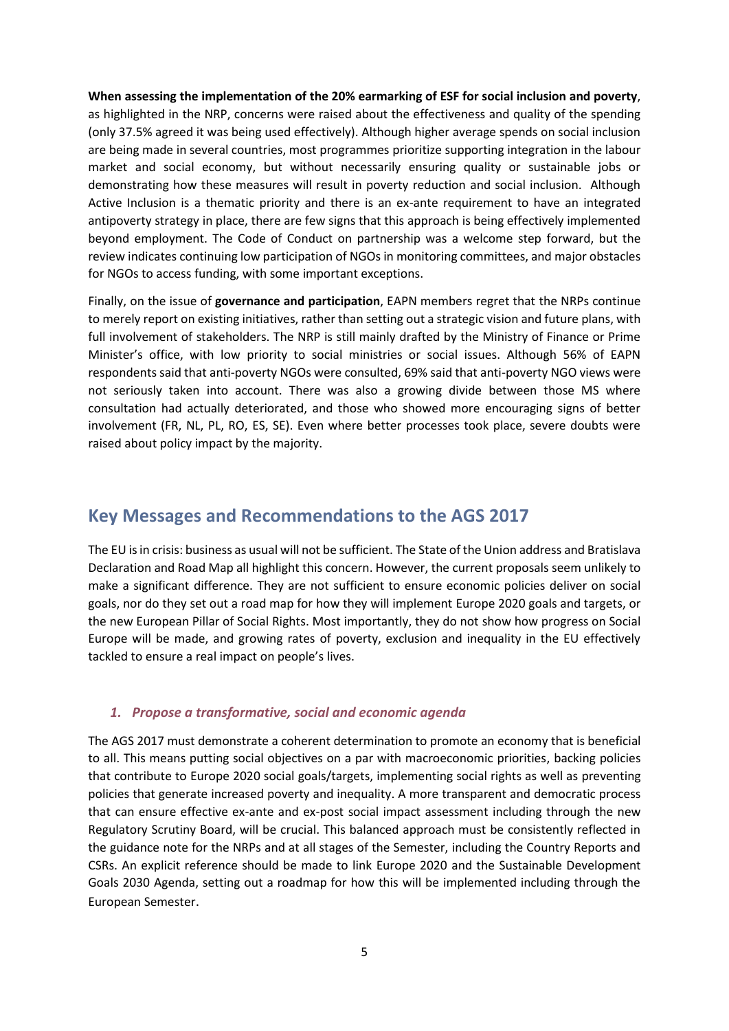**When assessing the implementation of the 20% earmarking of ESF for social inclusion and poverty**, as highlighted in the NRP, concerns were raised about the effectiveness and quality of the spending (only 37.5% agreed it was being used effectively). Although higher average spends on social inclusion are being made in several countries, most programmes prioritize supporting integration in the labour market and social economy, but without necessarily ensuring quality or sustainable jobs or demonstrating how these measures will result in poverty reduction and social inclusion. Although Active Inclusion is a thematic priority and there is an ex-ante requirement to have an integrated antipoverty strategy in place, there are few signs that this approach is being effectively implemented beyond employment. The Code of Conduct on partnership was a welcome step forward, but the review indicates continuing low participation of NGOs in monitoring committees, and major obstacles for NGOs to access funding, with some important exceptions.

Finally, on the issue of **governance and participation**, EAPN members regret that the NRPs continue to merely report on existing initiatives, rather than setting out a strategic vision and future plans, with full involvement of stakeholders. The NRP is still mainly drafted by the Ministry of Finance or Prime Minister's office, with low priority to social ministries or social issues. Although 56% of EAPN respondents said that anti-poverty NGOs were consulted, 69% said that anti-poverty NGO views were not seriously taken into account. There was also a growing divide between those MS where consultation had actually deteriorated, and those who showed more encouraging signs of better involvement (FR, NL, PL, RO, ES, SE). Even where better processes took place, severe doubts were raised about policy impact by the majority.

## **Key Messages and Recommendations to the AGS 2017**

The EU is in crisis: business as usual will not be sufficient. The State of the Union address and Bratislava Declaration and Road Map all highlight this concern. However, the current proposals seem unlikely to make a significant difference. They are not sufficient to ensure economic policies deliver on social goals, nor do they set out a road map for how they will implement Europe 2020 goals and targets, or the new European Pillar of Social Rights. Most importantly, they do not show how progress on Social Europe will be made, and growing rates of poverty, exclusion and inequality in the EU effectively tackled to ensure a real impact on people's lives.

#### *1. Propose a transformative, social and economic agenda*

The AGS 2017 must demonstrate a coherent determination to promote an economy that is beneficial to all. This means putting social objectives on a par with macroeconomic priorities, backing policies that contribute to Europe 2020 social goals/targets, implementing social rights as well as preventing policies that generate increased poverty and inequality. A more transparent and democratic process that can ensure effective ex-ante and ex-post social impact assessment including through the new Regulatory Scrutiny Board, will be crucial. This balanced approach must be consistently reflected in the guidance note for the NRPs and at all stages of the Semester, including the Country Reports and CSRs. An explicit reference should be made to link Europe 2020 and the Sustainable Development Goals 2030 Agenda, setting out a roadmap for how this will be implemented including through the European Semester.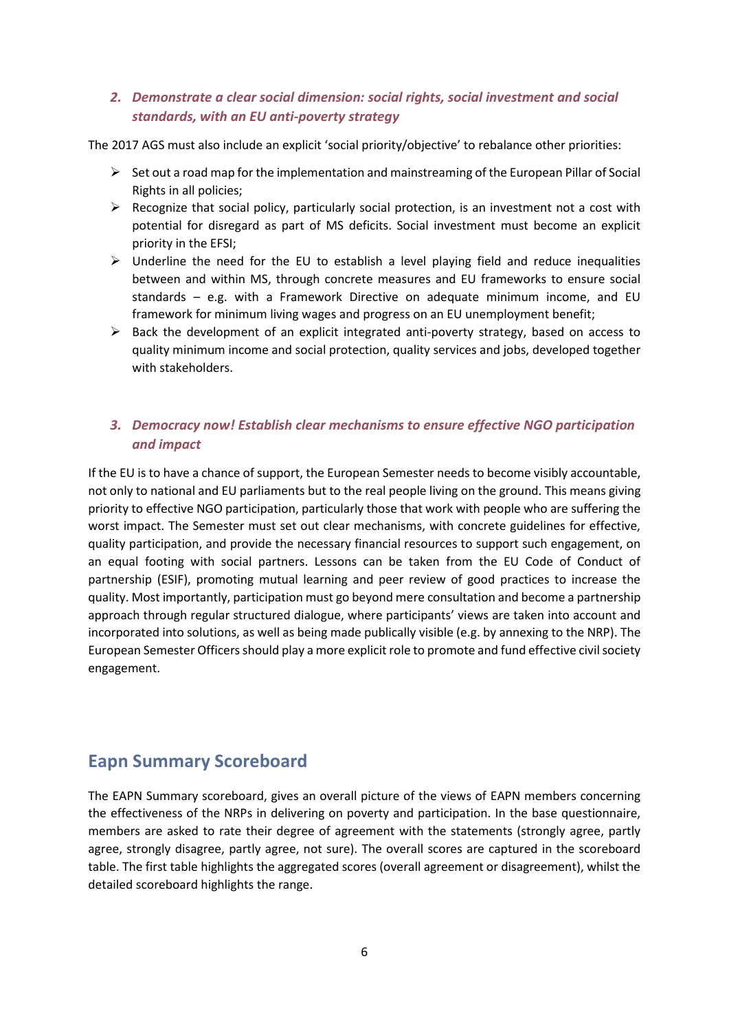#### *2. Demonstrate a clear social dimension: social rights, social investment and social standards, with an EU anti-poverty strategy*

The 2017 AGS must also include an explicit 'social priority/objective' to rebalance other priorities:

- $\triangleright$  Set out a road map for the implementation and mainstreaming of the European Pillar of Social Rights in all policies;
- $\triangleright$  Recognize that social policy, particularly social protection, is an investment not a cost with potential for disregard as part of MS deficits. Social investment must become an explicit priority in the EFSI;
- $\triangleright$  Underline the need for the EU to establish a level playing field and reduce inequalities between and within MS, through concrete measures and EU frameworks to ensure social standards – e.g. with a Framework Directive on adequate minimum income, and EU framework for minimum living wages and progress on an EU unemployment benefit;
- $\triangleright$  Back the development of an explicit integrated anti-poverty strategy, based on access to quality minimum income and social protection, quality services and jobs, developed together with stakeholders.

### *3. Democracy now! Establish clear mechanisms to ensure effective NGO participation and impact*

If the EU is to have a chance of support, the European Semester needs to become visibly accountable, not only to national and EU parliaments but to the real people living on the ground. This means giving priority to effective NGO participation, particularly those that work with people who are suffering the worst impact. The Semester must set out clear mechanisms, with concrete guidelines for effective, quality participation, and provide the necessary financial resources to support such engagement, on an equal footing with social partners. Lessons can be taken from the EU Code of Conduct of partnership (ESIF), promoting mutual learning and peer review of good practices to increase the quality. Most importantly, participation must go beyond mere consultation and become a partnership approach through regular structured dialogue, where participants' views are taken into account and incorporated into solutions, as well as being made publically visible (e.g. by annexing to the NRP). The European Semester Officers should play a more explicit role to promote and fund effective civil society engagement.

# **Eapn Summary Scoreboard**

The EAPN Summary scoreboard, gives an overall picture of the views of EAPN members concerning the effectiveness of the NRPs in delivering on poverty and participation. In the base questionnaire, members are asked to rate their degree of agreement with the statements (strongly agree, partly agree, strongly disagree, partly agree, not sure). The overall scores are captured in the scoreboard table. The first table highlights the aggregated scores (overall agreement or disagreement), whilst the detailed scoreboard highlights the range.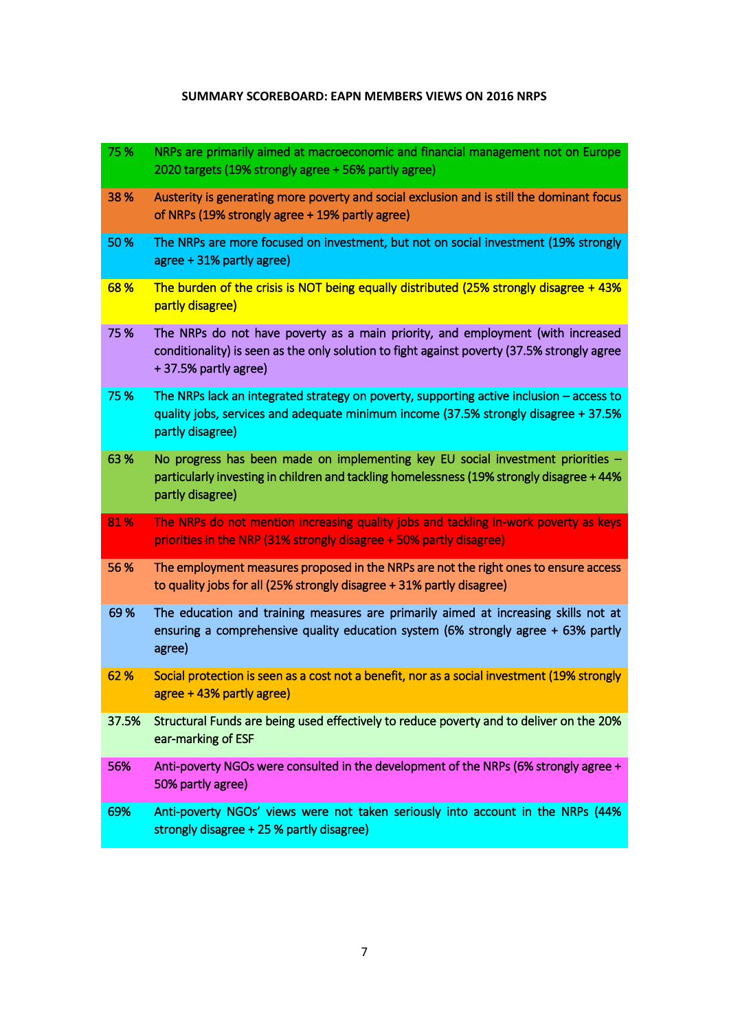#### **SUMMARY SCOREBOARD: EAPN MEMBERS VIEWS ON 2016 NRPS**

| 75%   | NRPs are primarily aimed at macroeconomic and financial management not on Europe<br>2020 targets (19% strongly agree + 56% partly agree)                                                               |
|-------|--------------------------------------------------------------------------------------------------------------------------------------------------------------------------------------------------------|
| 38 %  | Austerity is generating more poverty and social exclusion and is still the dominant focus<br>of NRPs (19% strongly agree + 19% partly agree)                                                           |
| 50 %  | The NRPs are more focused on investment, but not on social investment (19% strongly<br>agree + 31% partly agree)                                                                                       |
| 68%   | The burden of the crisis is NOT being equally distributed (25% strongly disagree $+43\%$ )<br>partly disagree)                                                                                         |
| 75 %  | The NRPs do not have poverty as a main priority, and employment (with increased<br>conditionality) is seen as the only solution to fight against poverty (37.5% strongly agree<br>+37.5% partly agree) |
| 75 %  | The NRPs lack an integrated strategy on poverty, supporting active inclusion $-$ access to<br>quality jobs, services and adequate minimum income (37.5% strongly disagree + 37.5%<br>partly disagree)  |
| 63%   | No progress has been made on implementing key EU social investment priorities -<br>particularly investing in children and tackling homelessness (19% strongly disagree + 44%<br>partly disagree)       |
| 81%   | The NRPs do not mention increasing quality jobs and tackling in-work poverty as keys<br>priorities in the NRP (31% strongly disagree + 50% partly disagree)                                            |
| 56 %  | The employment measures proposed in the NRPs are not the right ones to ensure access<br>to quality jobs for all (25% strongly disagree + 31% partly disagree)                                          |
| 69%   | The education and training measures are primarily aimed at increasing skills not at<br>ensuring a comprehensive quality education system (6% strongly agree + 63% partly<br>agree)                     |
| 62 %  | Social protection is seen as a cost not a benefit, nor as a social investment (19% strongly<br>agree + 43% partly agree)                                                                               |
| 37.5% | Structural Funds are being used effectively to reduce poverty and to deliver on the 20%<br>ear-marking of ESF                                                                                          |
| 56%   | Anti-poverty NGOs were consulted in the development of the NRPs (6% strongly agree +<br>50% partly agree)                                                                                              |
| 69%   | Anti-poverty NGOs' views were not taken seriously into account in the NRPs (44%<br>strongly disagree + 25 % partly disagree)                                                                           |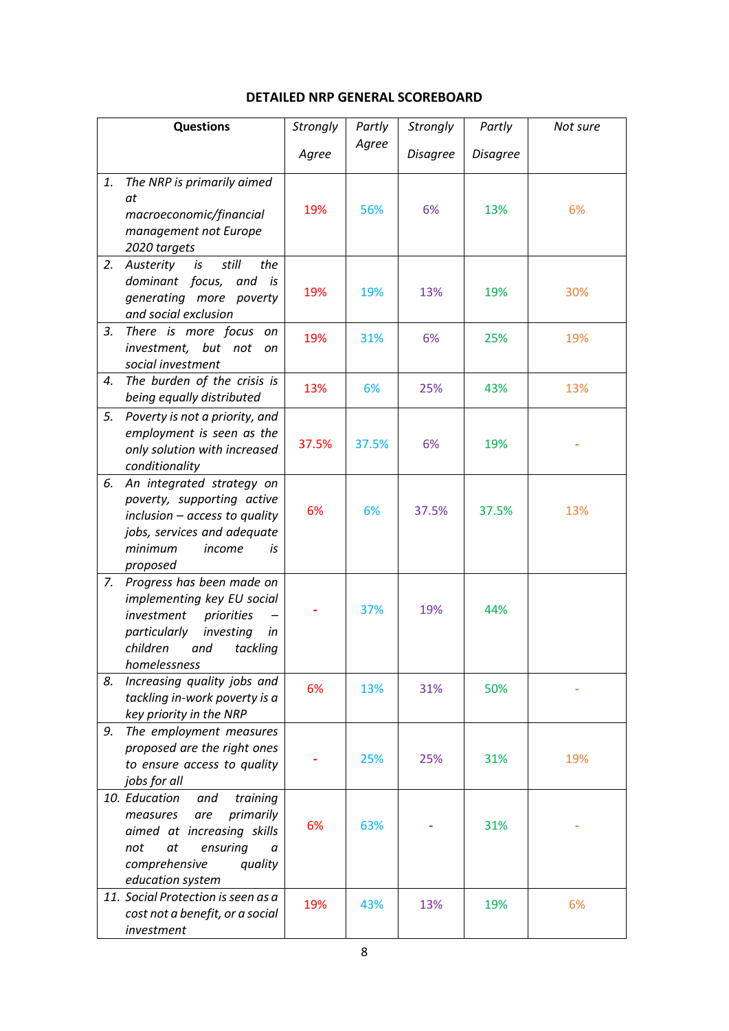#### **DETAILED NRP GENERAL SCOREBOARD**

| <b>Questions</b> |                                                                                                                                                                              | Strongly | Partly | Strongly        | Partly          | Not sure |
|------------------|------------------------------------------------------------------------------------------------------------------------------------------------------------------------------|----------|--------|-----------------|-----------------|----------|
|                  |                                                                                                                                                                              | Agree    | Agree  | <b>Disagree</b> | <b>Disagree</b> |          |
| 1.               | The NRP is primarily aimed<br>at<br>macroeconomic/financial<br>management not Europe<br>2020 targets                                                                         | 19%      | 56%    | 6%              | 13%             | 6%       |
| 2.               | still<br>Austerity<br>is<br>the<br>dominant focus,<br>and is<br>generating more poverty<br>and social exclusion                                                              | 19%      | 19%    | 13%             | 19%             | 30%      |
| 3.               | There is more focus<br>on<br>investment, but not<br>on<br>social investment                                                                                                  | 19%      | 31%    | 6%              | 25%             | 19%      |
| 4.               | The burden of the crisis is<br>being equally distributed                                                                                                                     | 13%      | 6%     | 25%             | 43%             | 13%      |
| 5.               | Poverty is not a priority, and<br>employment is seen as the<br>only solution with increased<br>conditionality                                                                | 37.5%    | 37.5%  | 6%              | 19%             |          |
| 6.               | An integrated strategy on<br>poverty, supporting active<br>inclusion - access to quality<br>jobs, services and adequate<br>minimum<br>income<br>is<br>proposed               | 6%       | 6%     | 37.5%           | 37.5%           | 13%      |
| 7.               | Progress has been made on<br>implementing key EU social<br>investment<br>priorities<br>particularly<br>investing<br>in<br>children<br>tackling<br>and<br>homelessness        |          | 37%    | 19%             | 44%             |          |
| 8.               | Increasing quality jobs and<br>tackling in-work poverty is a<br>key priority in the NRP                                                                                      | 6%       | 13%    | 31%             | 50%             |          |
| 9.               | The employment measures<br>proposed are the right ones<br>to ensure access to quality<br>jobs for all                                                                        |          | 25%    | 25%             | 31%             | 19%      |
|                  | 10. Education<br>training<br>and<br>primarily<br>measures<br>are<br>aimed at increasing skills<br>not<br>at<br>ensuring<br>a<br>comprehensive<br>quality<br>education system | 6%       | 63%    |                 | 31%             |          |
|                  | 11. Social Protection is seen as a<br>cost not a benefit, or a social<br>investment                                                                                          | 19%      | 43%    | 13%             | 19%             | 6%       |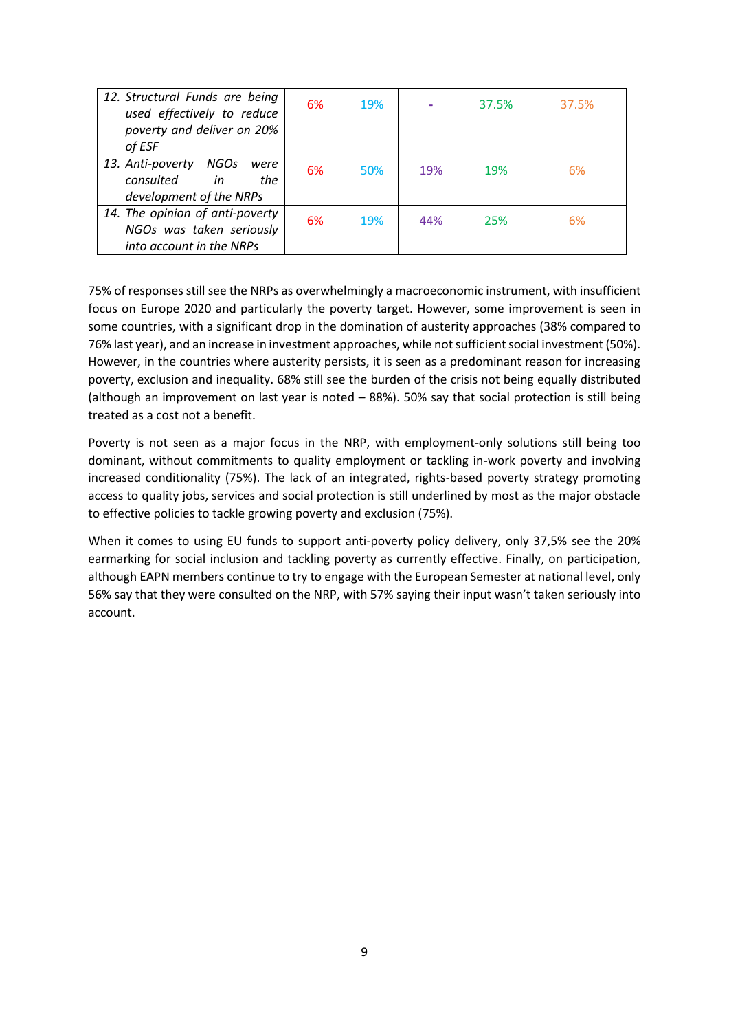| 12. Structural Funds are being<br>used effectively to reduce | 6% | <b>19%</b> |     | 37.5% | 37.5% |
|--------------------------------------------------------------|----|------------|-----|-------|-------|
| poverty and deliver on 20%                                   |    |            |     |       |       |
| of ESF                                                       |    |            |     |       |       |
| 13. Anti-poverty NGOs<br>were<br>consulted<br>in<br>the      | 6% | 50%        | 19% | 19%   | 6%    |
| development of the NRPs                                      |    |            |     |       |       |
| 14. The opinion of anti-poverty                              | 6% | 19%        | 44% | 25%   | 6%    |
| NGOs was taken seriously                                     |    |            |     |       |       |
| into account in the NRPs                                     |    |            |     |       |       |

75% of responses still see the NRPs as overwhelmingly a macroeconomic instrument, with insufficient focus on Europe 2020 and particularly the poverty target. However, some improvement is seen in some countries, with a significant drop in the domination of austerity approaches (38% compared to 76% last year), and an increase in investment approaches, while not sufficient social investment (50%). However, in the countries where austerity persists, it is seen as a predominant reason for increasing poverty, exclusion and inequality. 68% still see the burden of the crisis not being equally distributed (although an improvement on last year is noted – 88%). 50% say that social protection is still being treated as a cost not a benefit.

Poverty is not seen as a major focus in the NRP, with employment-only solutions still being too dominant, without commitments to quality employment or tackling in-work poverty and involving increased conditionality (75%). The lack of an integrated, rights-based poverty strategy promoting access to quality jobs, services and social protection is still underlined by most as the major obstacle to effective policies to tackle growing poverty and exclusion (75%).

When it comes to using EU funds to support anti-poverty policy delivery, only 37,5% see the 20% earmarking for social inclusion and tackling poverty as currently effective. Finally, on participation, although EAPN members continue to try to engage with the European Semester at national level, only 56% say that they were consulted on the NRP, with 57% saying their input wasn't taken seriously into account.